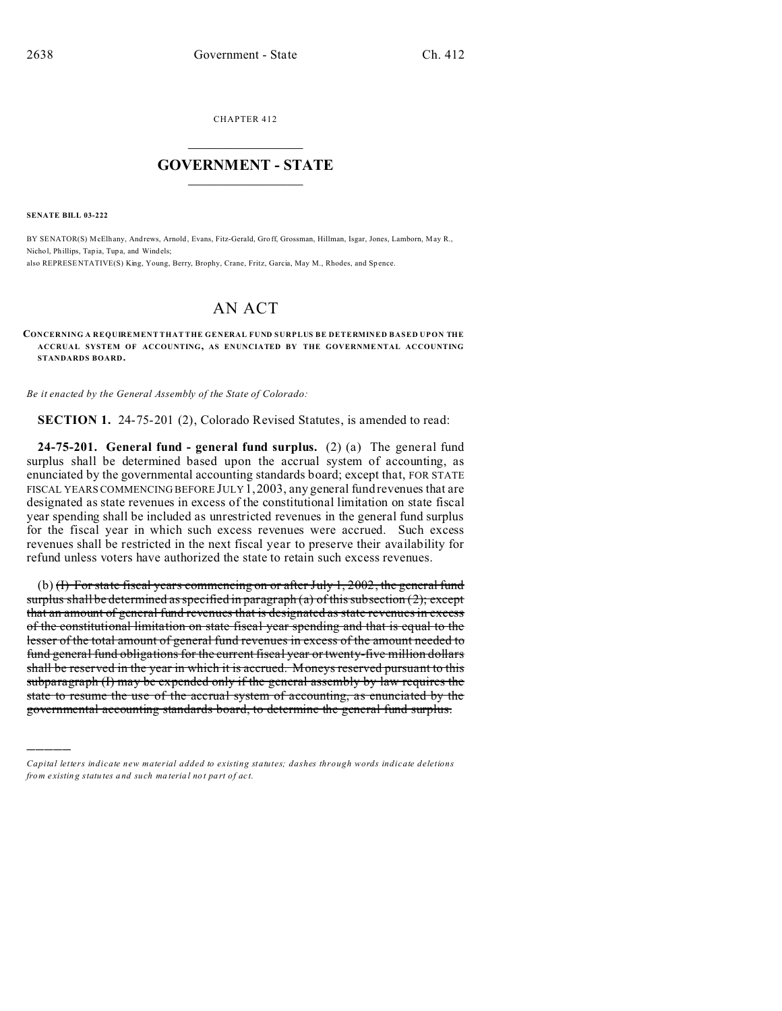CHAPTER 412  $\overline{\phantom{a}}$  , where  $\overline{\phantom{a}}$ 

## **GOVERNMENT - STATE**  $\_$   $\_$   $\_$   $\_$   $\_$   $\_$   $\_$   $\_$   $\_$

**SENATE BILL 03-222**

)))))

BY SENATOR(S) McElhany, Andrews, Arnold , Evans, Fitz-Gerald, Gro ff, Grossman, Hillman, Isgar, Jones, Lamborn, May R., Nichol, Phillips, Tap ia, Tupa, and Windels; also REPRESENTATIVE(S) King, Young, Berry, Brophy, Crane, Fritz, Garcia, May M., Rhodes, and Spence.

## AN ACT

**CONCERNING A REQUIREMENT THAT THE GENERAL FUND SURPLUS BE DETERMINED BASED UPON THE ACCRUAL SYSTEM OF ACCOUNTING, AS ENUNCIATED BY THE GOVERNME NTAL ACCOUNTING STANDARDS BOARD.**

*Be it enacted by the General Assembly of the State of Colorado:*

**SECTION 1.** 24-75-201 (2), Colorado Revised Statutes, is amended to read:

**24-75-201. General fund - general fund surplus.** (2) (a) The general fund surplus shall be determined based upon the accrual system of accounting, as enunciated by the governmental accounting standards board; except that, FOR STATE FISCAL YEARS COMMENCING BEFORE JULY 1,2003, any general fund revenues that are designated as state revenues in excess of the constitutional limitation on state fiscal year spending shall be included as unrestricted revenues in the general fund surplus for the fiscal year in which such excess revenues were accrued. Such excess revenues shall be restricted in the next fiscal year to preserve their availability for refund unless voters have authorized the state to retain such excess revenues.

(b)  $\text{H}$  For state fiscal years commencing on or after July 1, 2002, the general fund surplus shall be determined as specified in paragraph (a) of this subsection  $(2)$ ; except that an amount of general fund revenues that is designated as state revenues in excess of the constitutional limitation on state fiscal year spending and that is equal to the lesser of the total amount of general fund revenues in excess of the amount needed to fund general fund obligations for the current fiscal year or twenty-five million dollars shall be reserved in the year in which it is accrued. Moneys reserved pursuant to this subparagraph (I) may be expended only if the general assembly by law requires the state to resume the use of the accrual system of accounting, as enunciated by the governmental accounting standards board, to determine the general fund surplus.

*Capital letters indicate new material added to existing statutes; dashes through words indicate deletions from e xistin g statu tes a nd such ma teria l no t pa rt of ac t.*